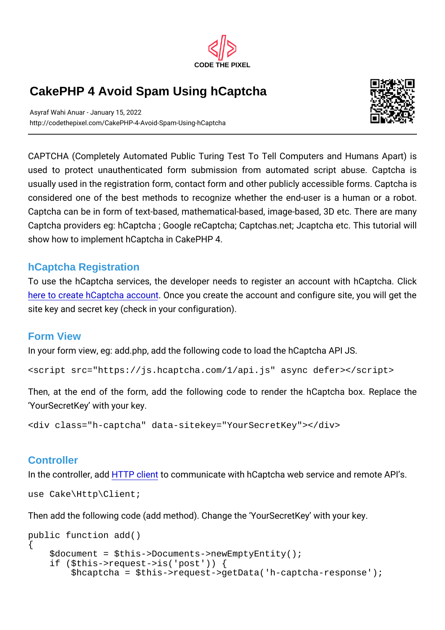CODE THE PIXEL

## CakePHP 4 Avoid Spam Using hCaptcha

Asyraf Wahi Anuar - January 15, 2022 http://codethepixel.com/CakePHP-4-Avoid-Spam-Using-hCaptcha

CAPTCHA (Completely Automated Public Turing Test To Tell C used to protect unauthenticated form submission from auton usually used in the registration form, contact form and other pub considered one of the best methods to recognize whether the Captcha can be in form of text-based, mathematical-based, imag Captcha providers eg: hCaptcha; Google reCaptcha; Captchas.n show how to implement hCaptcha in CakePHP 4.

## hCaptcha Registration

To use the hCaptcha services, the developer needs to register here to create h Captcloan account create the account and configure site key and secret key (check in your configuration).

## Form View

In your form view, eg: add.php, add the following code to load th <script src="https://js.hcaptcha.com/1/api.js" async defer></script>

Then, at the end of the form, add the following code to rend YourSecretKey with your key.

<div class="h-captcha" data-sitekey="YourSecretKey"></div>

## **Controller**

In the controller of T, Pad ditent communicate with hCaptcha web service and remote  $\alpha$ use Cake\Http\Client;

```
Then add the following code (add method). Change the Your Secr
public function add()
{
   $document = $this->Documents->newEmptyEntity();
   if ($this->request->is('post')) {
     $hcaptcha = $this->request->getData('h-captcha-response');
```